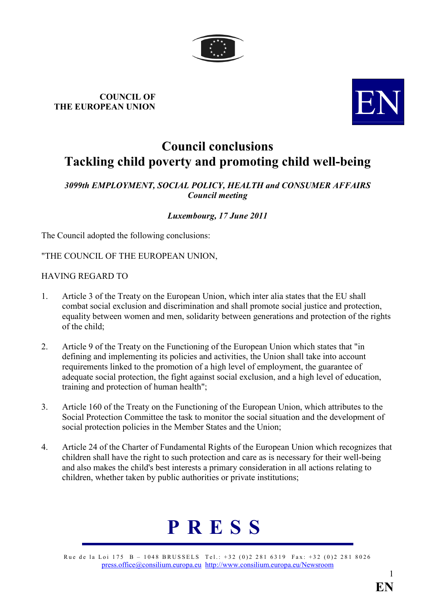

# COUNCIL OF COUNCIL OF THE EUROPEAN UNION



# Council conclusions Tackling child poverty and promoting child well-being

## 3099th EMPLOYMENT, SOCIAL POLICY, HEALTH and CONSUMER AFFAIRS Council meeting

# Luxembourg, 17 June 2011

The Council adopted the following conclusions:

"THE COUNCIL OF THE EUROPEAN UNION,

### HAVING REGARD TO

- 1. Article 3 of the Treaty on the European Union, which inter alia states that the EU shall combat social exclusion and discrimination and shall promote social justice and protection, equality between women and men, solidarity between generations and protection of the rights of the child;
- 2. Article 9 of the Treaty on the Functioning of the European Union which states that "in defining and implementing its policies and activities, the Union shall take into account requirements linked to the promotion of a high level of employment, the guarantee of adequate social protection, the fight against social exclusion, and a high level of education, training and protection of human health";
- 3. Article 160 of the Treaty on the Functioning of the European Union, which attributes to the Social Protection Committee the task to monitor the social situation and the development of social protection policies in the Member States and the Union;
- 4. Article 24 of the Charter of Fundamental Rights of the European Union which recognizes that children shall have the right to such protection and care as is necessary for their well-being and also makes the child's best interests a primary consideration in all actions relating to children, whether taken by public authorities or private institutions;



Rue de la Loi 175 B – 1048 BRUSSELS Tel.: +32 (0)2 281 6319 Fax: +32 (0)2 281 8026 [press.office@consilium.europa.eu](mailto:press.office@consilium.eu.int) [http://www.consilium.europa.eu/Newsroom](http://ue.eu.int/Newsroom)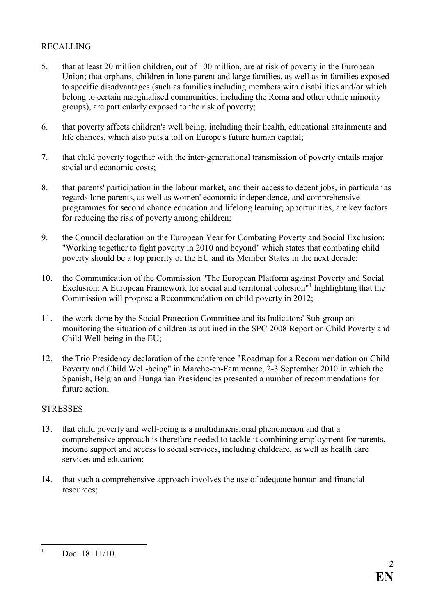# RECALLING

- 5. that at least 20 million children, out of 100 million, are at risk of poverty in the European Union; that orphans, children in lone parent and large families, as well as in families exposed to specific disadvantages (such as families including members with disabilities and/or which belong to certain marginalised communities, including the Roma and other ethnic minority groups), are particularly exposed to the risk of poverty;
- 6. that poverty affects children's well being, including their health, educational attainments and life chances, which also puts a toll on Europe's future human capital;
- 7. that child poverty together with the inter-generational transmission of poverty entails major social and economic costs;
- 8. that parents' participation in the labour market, and their access to decent jobs, in particular as regards lone parents, as well as women' economic independence, and comprehensive programmes for second chance education and lifelong learning opportunities, are key factors for reducing the risk of poverty among children;
- 9. the Council declaration on the European Year for Combating Poverty and Social Exclusion: "Working together to fight poverty in 2010 and beyond" which states that combating child poverty should be a top priority of the EU and its Member States in the next decade;
- 10. the Communication of the Commission "The European Platform against Poverty and Social Exclusion: A European Framework for social and territorial cohesion"<sup>1</sup> highlighting that the Commission will propose a Recommendation on child poverty in 2012;
- 11. the work done by the Social Protection Committee and its Indicators' Sub-group on monitoring the situation of children as outlined in the SPC 2008 Report on Child Poverty and Child Well-being in the EU;
- 12. the Trio Presidency declaration of the conference "Roadmap for a Recommendation on Child Poverty and Child Well-being" in Marche-en-Fammenne, 2-3 September 2010 in which the Spanish, Belgian and Hungarian Presidencies presented a number of recommendations for future action;

#### **STRESSES**

- 13. that child poverty and well-being is a multidimensional phenomenon and that a comprehensive approach is therefore needed to tackle it combining employment for parents, income support and access to social services, including childcare, as well as health care services and education;
- 14. that such a comprehensive approach involves the use of adequate human and financial resources;

 $\frac{1}{1}$ Doc. 18111/10.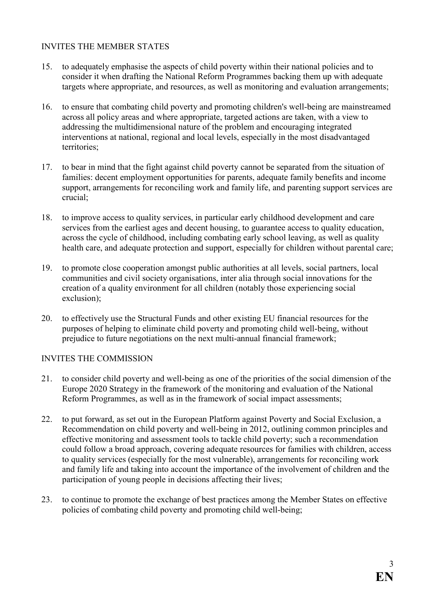#### INVITES THE MEMBER STATES

- 15. to adequately emphasise the aspects of child poverty within their national policies and to consider it when drafting the National Reform Programmes backing them up with adequate targets where appropriate, and resources, as well as monitoring and evaluation arrangements;
- 16. to ensure that combating child poverty and promoting children's well-being are mainstreamed across all policy areas and where appropriate, targeted actions are taken, with a view to addressing the multidimensional nature of the problem and encouraging integrated interventions at national, regional and local levels, especially in the most disadvantaged territories;
- 17. to bear in mind that the fight against child poverty cannot be separated from the situation of families: decent employment opportunities for parents, adequate family benefits and income support, arrangements for reconciling work and family life, and parenting support services are crucial;
- 18. to improve access to quality services, in particular early childhood development and care services from the earliest ages and decent housing, to guarantee access to quality education, across the cycle of childhood, including combating early school leaving, as well as quality health care, and adequate protection and support, especially for children without parental care;
- 19. to promote close cooperation amongst public authorities at all levels, social partners, local communities and civil society organisations, inter alia through social innovations for the creation of a quality environment for all children (notably those experiencing social exclusion);
- 20. to effectively use the Structural Funds and other existing EU financial resources for the purposes of helping to eliminate child poverty and promoting child well-being, without prejudice to future negotiations on the next multi-annual financial framework;

#### INVITES THE COMMISSION

- 21. to consider child poverty and well-being as one of the priorities of the social dimension of the Europe 2020 Strategy in the framework of the monitoring and evaluation of the National Reform Programmes, as well as in the framework of social impact assessments;
- 22. to put forward, as set out in the European Platform against Poverty and Social Exclusion, a Recommendation on child poverty and well-being in 2012, outlining common principles and effective monitoring and assessment tools to tackle child poverty; such a recommendation could follow a broad approach, covering adequate resources for families with children, access to quality services (especially for the most vulnerable), arrangements for reconciling work and family life and taking into account the importance of the involvement of children and the participation of young people in decisions affecting their lives;
- 23. to continue to promote the exchange of best practices among the Member States on effective policies of combating child poverty and promoting child well-being;